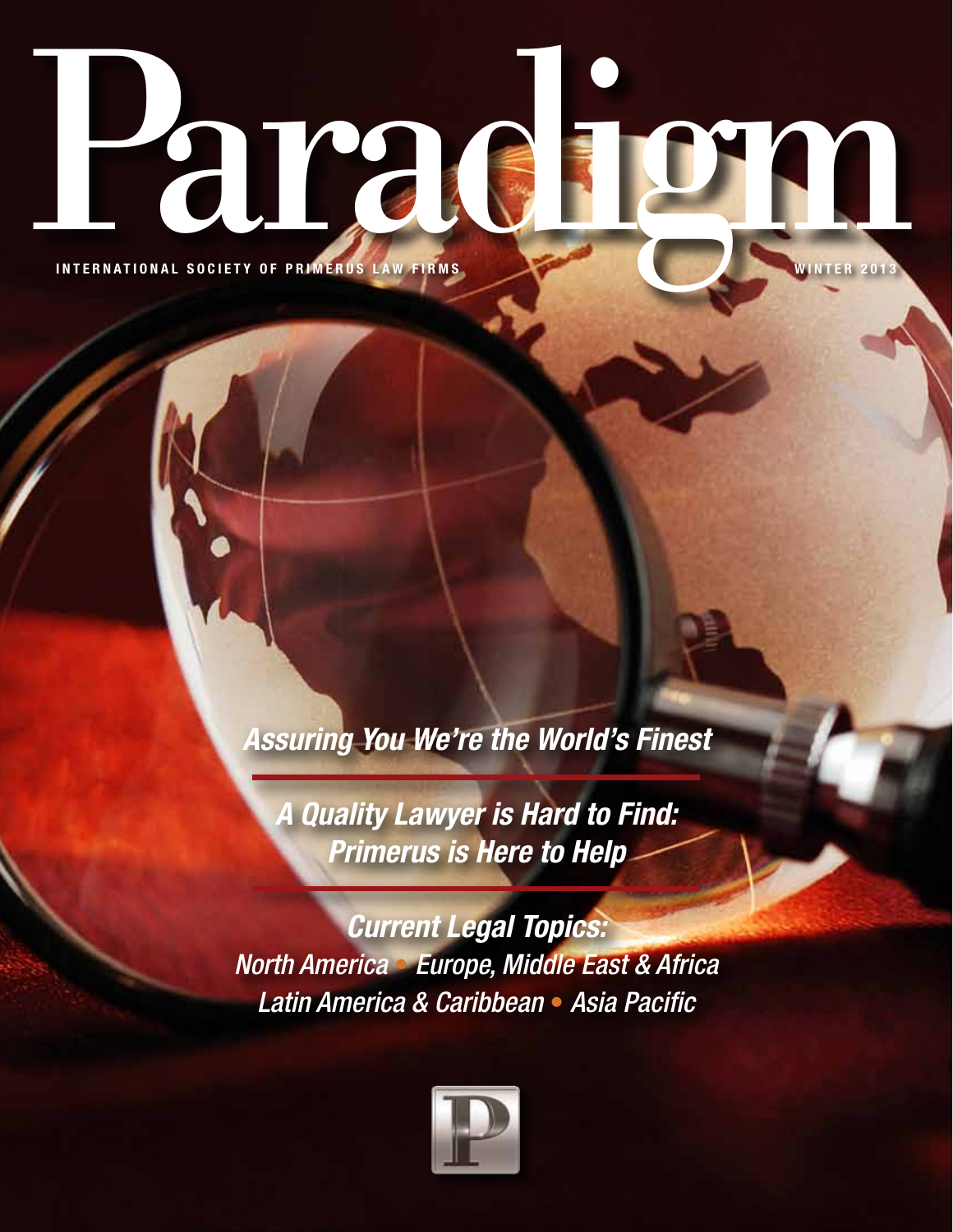**Paradel GRAMER STRANGE AND STRANGE 2013** 

*Assuring You We're the World's Finest* 

*A Quality Lawyer is Hard to Find: Primerus is Here to Help* 

*Current Legal Topics: North America* • *Europe, Middle East & Africa Latin America & Caribbean* • *Asia Pacific*

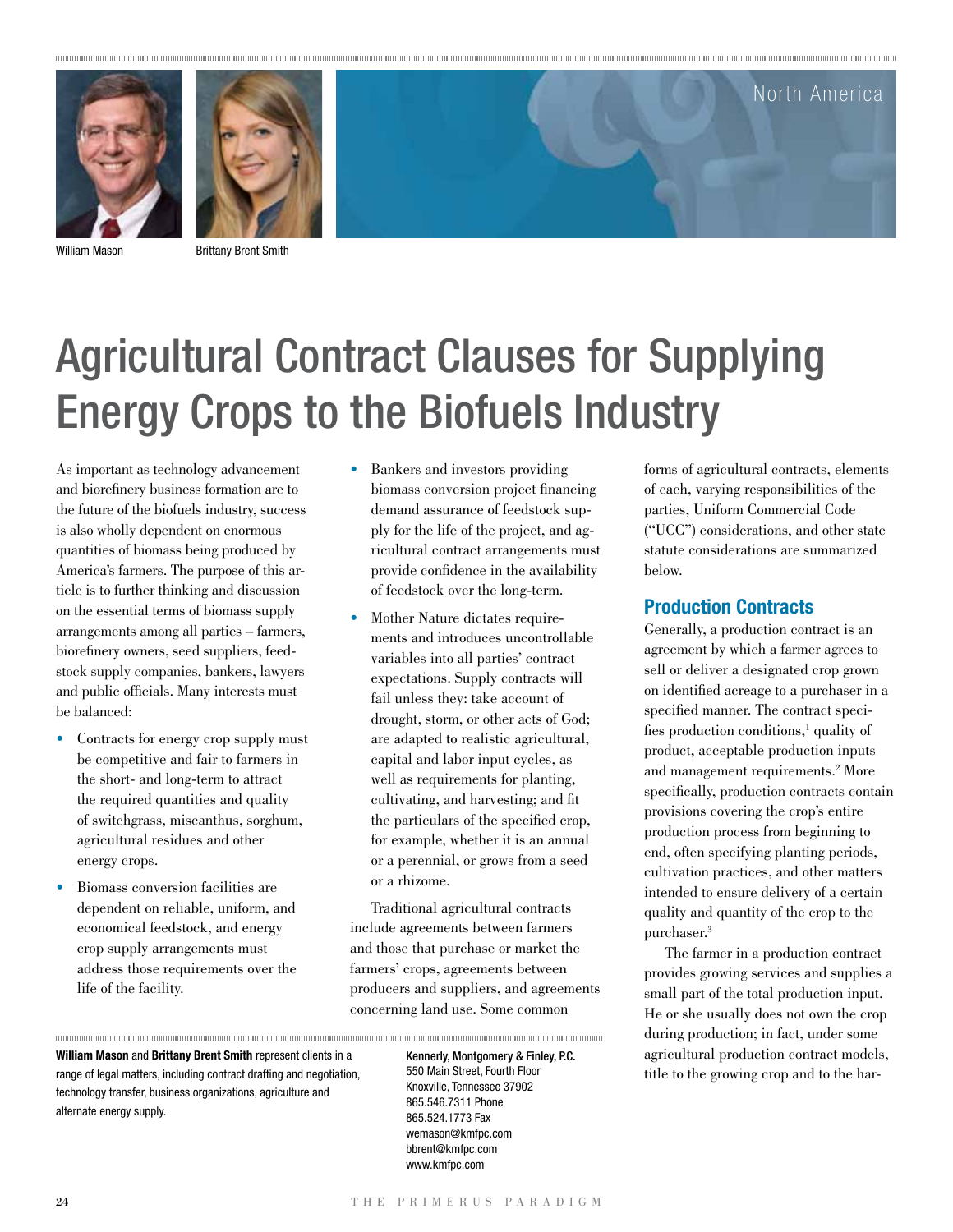



William Mason Brittany Brent Smith

## Agricultural Contract Clauses for Supplying Energy Crops to the Biofuels Industry

As important as technology advancement and biorefinery business formation are to the future of the biofuels industry, success is also wholly dependent on enormous quantities of biomass being produced by America's farmers. The purpose of this article is to further thinking and discussion on the essential terms of biomass supply arrangements among all parties – farmers, biorefinery owners, seed suppliers, feedstock supply companies, bankers, lawyers and public officials. Many interests must be balanced:

- Contracts for energy crop supply must be competitive and fair to farmers in the short- and long-term to attract the required quantities and quality of switchgrass, miscanthus, sorghum, agricultural residues and other energy crops.
- Biomass conversion facilities are dependent on reliable, uniform, and economical feedstock, and energy crop supply arrangements must address those requirements over the life of the facility.

- Bankers and investors providing biomass conversion project financing demand assurance of feedstock supply for the life of the project, and agricultural contract arrangements must provide confidence in the availability of feedstock over the long-term.
- Mother Nature dictates requirements and introduces uncontrollable variables into all parties' contract expectations. Supply contracts will fail unless they: take account of drought, storm, or other acts of God; are adapted to realistic agricultural, capital and labor input cycles, as well as requirements for planting, cultivating, and harvesting; and fit the particulars of the specified crop, for example, whether it is an annual or a perennial, or grows from a seed or a rhizome.

Traditional agricultural contracts include agreements between farmers and those that purchase or market the farmers' crops, agreements between producers and suppliers, and agreements concerning land use. Some common

**William Mason** and **Brittany Brent Smith** represent clients in a range of legal matters, including contract drafting and negotiation, technology transfer, business organizations, agriculture and alternate energy supply.

Kennerly, Montgomery & Finley, P.C. 550 Main Street, Fourth Floor Knoxville, Tennessee 37902 865.546.7311 Phone 865.524.1773 Fax wemason@kmfpc.com bbrent@kmfpc.com www.kmfpc.com

forms of agricultural contracts, elements of each, varying responsibilities of the parties, Uniform Commercial Code ("UCC") considerations, and other state statute considerations are summarized below.

North America

## **Production Contracts**

Generally, a production contract is an agreement by which a farmer agrees to sell or deliver a designated crop grown on identified acreage to a purchaser in a specified manner. The contract specifies production conditions,<sup>1</sup> quality of product, acceptable production inputs and management requirements.2 More specifically, production contracts contain provisions covering the crop's entire production process from beginning to end, often specifying planting periods, cultivation practices, and other matters intended to ensure delivery of a certain quality and quantity of the crop to the purchaser.3

The farmer in a production contract provides growing services and supplies a small part of the total production input. He or she usually does not own the crop during production; in fact, under some agricultural production contract models, title to the growing crop and to the har-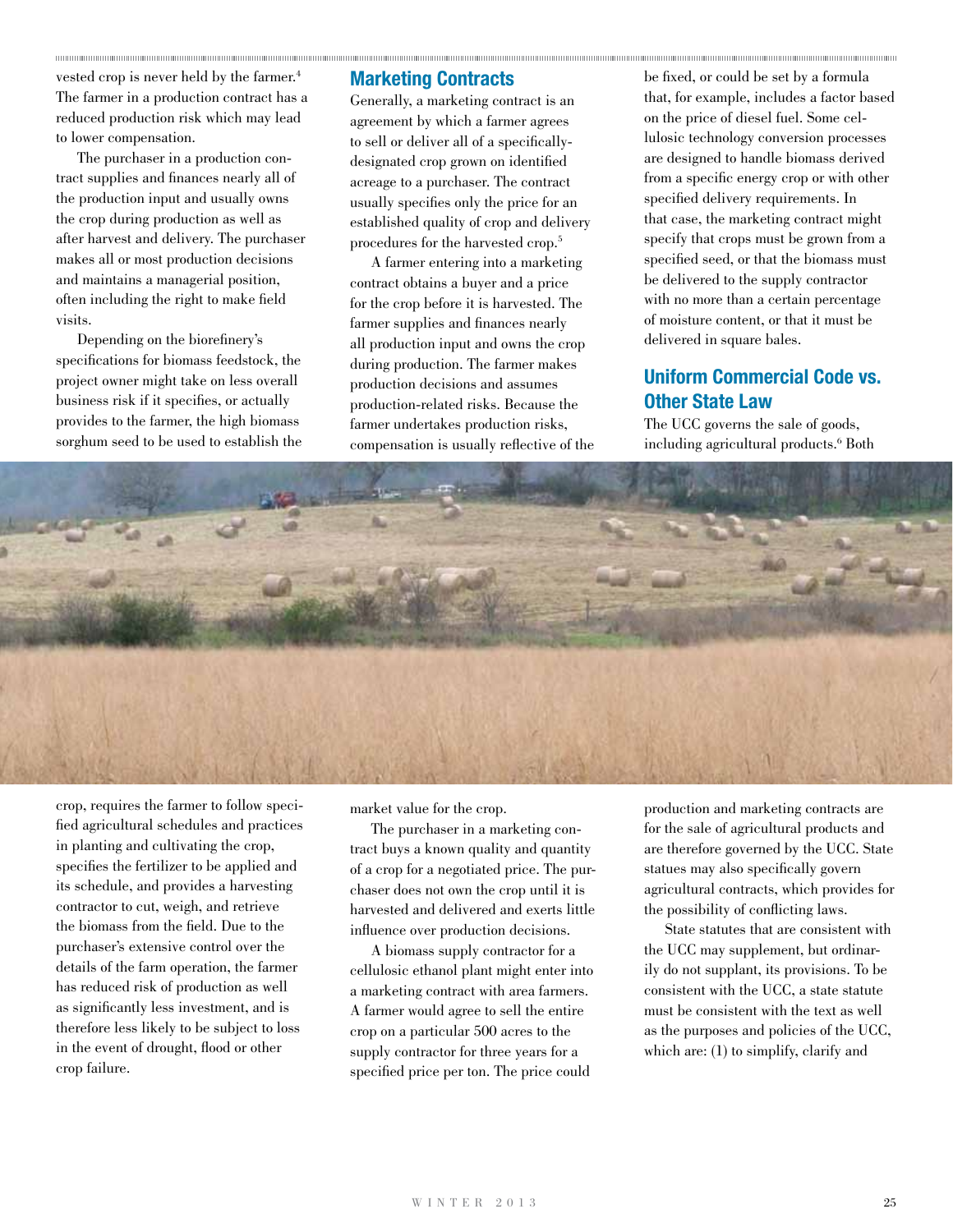vested crop is never held by the farmer.<sup>4</sup> The farmer in a production contract has a reduced production risk which may lead to lower compensation.

The purchaser in a production contract supplies and finances nearly all of the production input and usually owns the crop during production as well as after harvest and delivery. The purchaser makes all or most production decisions and maintains a managerial position, often including the right to make field visits.

Depending on the biorefinery's specifications for biomass feedstock, the project owner might take on less overall business risk if it specifies, or actually provides to the farmer, the high biomass sorghum seed to be used to establish the

## **Marketing Contracts**

Generally, a marketing contract is an agreement by which a farmer agrees to sell or deliver all of a specificallydesignated crop grown on identified acreage to a purchaser. The contract usually specifies only the price for an established quality of crop and delivery procedures for the harvested crop.5

A farmer entering into a marketing contract obtains a buyer and a price for the crop before it is harvested. The farmer supplies and finances nearly all production input and owns the crop during production. The farmer makes production decisions and assumes production-related risks. Because the farmer undertakes production risks, compensation is usually reflective of the

be fixed, or could be set by a formula that, for example, includes a factor based on the price of diesel fuel. Some cellulosic technology conversion processes are designed to handle biomass derived from a specific energy crop or with other specified delivery requirements. In that case, the marketing contract might specify that crops must be grown from a specified seed, or that the biomass must be delivered to the supply contractor with no more than a certain percentage of moisture content, or that it must be delivered in square bales.

## **Uniform Commercial Code vs. Other State Law**

The UCC governs the sale of goods, including agricultural products.6 Both



crop, requires the farmer to follow specified agricultural schedules and practices in planting and cultivating the crop, specifies the fertilizer to be applied and its schedule, and provides a harvesting contractor to cut, weigh, and retrieve the biomass from the field. Due to the purchaser's extensive control over the details of the farm operation, the farmer has reduced risk of production as well as significantly less investment, and is therefore less likely to be subject to loss in the event of drought, flood or other crop failure.

market value for the crop.

The purchaser in a marketing contract buys a known quality and quantity of a crop for a negotiated price. The purchaser does not own the crop until it is harvested and delivered and exerts little influence over production decisions.

A biomass supply contractor for a cellulosic ethanol plant might enter into a marketing contract with area farmers. A farmer would agree to sell the entire crop on a particular 500 acres to the supply contractor for three years for a specified price per ton. The price could

production and marketing contracts are for the sale of agricultural products and are therefore governed by the UCC. State statues may also specifically govern agricultural contracts, which provides for the possibility of conflicting laws.

State statutes that are consistent with the UCC may supplement, but ordinarily do not supplant, its provisions. To be consistent with the UCC, a state statute must be consistent with the text as well as the purposes and policies of the UCC, which are: (1) to simplify, clarify and